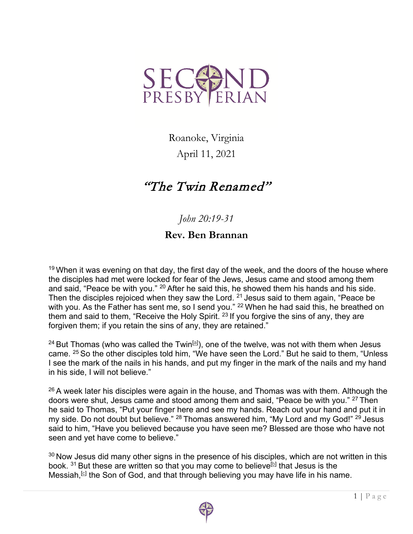

Roanoke, Virginia

April 11, 2021

## "The Twin Renamed"

*John 20:19-31*

## **Rev. Ben Brannan**

 $19$  When it was evening on that day, the first day of the week, and the doors of the house where the disciples had met were locked for fear of the Jews, Jesus came and stood among them and said, "Peace be with you." <sup>20</sup> After he said this, he showed them his hands and his side. Then the disciples rejoiced when they saw the Lord. <sup>21</sup> Jesus said to them again, "Peace be with you. As the Father has sent me, so I send you." <sup>22</sup> When he had said this, he breathed on them and said to them, "Receive the Holy Spirit.<sup>23</sup> If you forgive the sins of any, they are forgiven them; if you retain the sins of any, they are retained."

 $^{24}$  But Thomas (who was called the Twin $^{[\underline{a}]}$ ), one of the twelve, was not with them when Jesus came. <sup>25</sup> So the other disciples told him, "We have seen the Lord." But he said to them, "Unless I see the mark of the nails in his hands, and put my finger in the mark of the nails and my hand in his side, I will not believe."

 $26$  A week later his disciples were again in the house, and Thomas was with them. Although the doors were shut, Jesus came and stood among them and said, "Peace be with you." <sup>27</sup> Then he said to Thomas, "Put your finger here and see my hands. Reach out your hand and put it in my side. Do not doubt but believe." <sup>28</sup> Thomas answered him, "My Lord and my God!" <sup>29</sup> Jesus said to him, "Have you believed because you have seen me? Blessed are those who have not seen and yet have come to believe."

 $30$  Now Jesus did many other signs in the presence of his disciples, which are not written in this book.  $31$  But these are written so that you may come to believe<sup>[b]</sup> that Jesus is the Messiah,  $[<sup>c</sup>]$  the Son of God, and that through believing you may have life in his name.

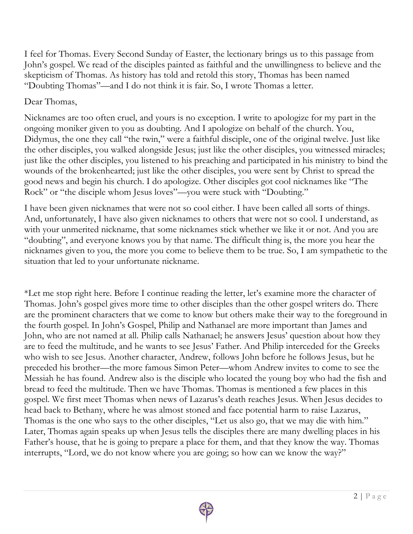I feel for Thomas. Every Second Sunday of Easter, the lectionary brings us to this passage from John's gospel. We read of the disciples painted as faithful and the unwillingness to believe and the skepticism of Thomas. As history has told and retold this story, Thomas has been named "Doubting Thomas"—and I do not think it is fair. So, I wrote Thomas a letter.

## Dear Thomas,

Nicknames are too often cruel, and yours is no exception. I write to apologize for my part in the ongoing moniker given to you as doubting. And I apologize on behalf of the church. You, Didymus, the one they call "the twin," were a faithful disciple, one of the original twelve. Just like the other disciples, you walked alongside Jesus; just like the other disciples, you witnessed miracles; just like the other disciples, you listened to his preaching and participated in his ministry to bind the wounds of the brokenhearted; just like the other disciples, you were sent by Christ to spread the good news and begin his church. I do apologize. Other disciples got cool nicknames like "The Rock" or "the disciple whom Jesus loves"—you were stuck with "Doubting."

I have been given nicknames that were not so cool either. I have been called all sorts of things. And, unfortunately, I have also given nicknames to others that were not so cool. I understand, as with your unmerited nickname, that some nicknames stick whether we like it or not. And you are "doubting", and everyone knows you by that name. The difficult thing is, the more you hear the nicknames given to you, the more you come to believe them to be true. So, I am sympathetic to the situation that led to your unfortunate nickname.

\*Let me stop right here. Before I continue reading the letter, let's examine more the character of Thomas. John's gospel gives more time to other disciples than the other gospel writers do. There are the prominent characters that we come to know but others make their way to the foreground in the fourth gospel. In John's Gospel, Philip and Nathanael are more important than James and John, who are not named at all. Philip calls Nathanael; he answers Jesus' question about how they are to feed the multitude, and he wants to see Jesus' Father. And Philip interceded for the Greeks who wish to see Jesus. Another character, Andrew, follows John before he follows Jesus, but he preceded his brother—the more famous Simon Peter—whom Andrew invites to come to see the Messiah he has found. Andrew also is the disciple who located the young boy who had the fish and bread to feed the multitude. Then we have Thomas. Thomas is mentioned a few places in this gospel. We first meet Thomas when news of Lazarus's death reaches Jesus. When Jesus decides to head back to Bethany, where he was almost stoned and face potential harm to raise Lazarus, Thomas is the one who says to the other disciples, "Let us also go, that we may die with him." Later, Thomas again speaks up when Jesus tells the disciples there are many dwelling places in his Father's house, that he is going to prepare a place for them, and that they know the way. Thomas interrupts, "Lord, we do not know where you are going; so how can we know the way?"

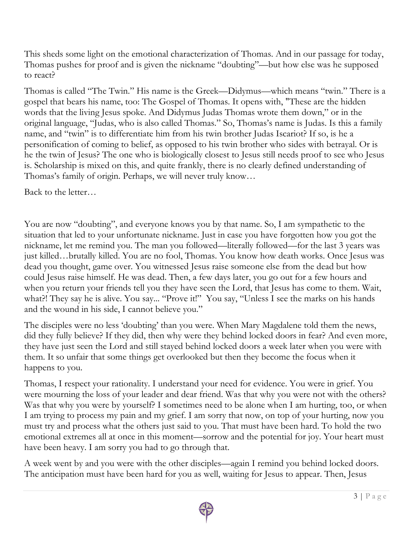This sheds some light on the emotional characterization of Thomas. And in our passage for today, Thomas pushes for proof and is given the nickname "doubting"—but how else was he supposed to react?

Thomas is called "The Twin." His name is the Greek—Didymus—which means "twin." There is a gospel that bears his name, too: The Gospel of Thomas. It opens with, "These are the hidden words that the living Jesus spoke. And Didymus Judas Thomas wrote them down," or in the original language, "Judas, who is also called Thomas." So, Thomas's name is Judas. Is this a family name, and "twin" is to differentiate him from his twin brother Judas Iscariot? If so, is he a personification of coming to belief, as opposed to his twin brother who sides with betrayal. Or is he the twin of Jesus? The one who is biologically closest to Jesus still needs proof to see who Jesus is. Scholarship is mixed on this, and quite frankly, there is no clearly defined understanding of Thomas's family of origin. Perhaps, we will never truly know…

Back to the letter…

You are now "doubting", and everyone knows you by that name. So, I am sympathetic to the situation that led to your unfortunate nickname. Just in case you have forgotten how you got the nickname, let me remind you. The man you followed—literally followed—for the last 3 years was just killed…brutally killed. You are no fool, Thomas. You know how death works. Once Jesus was dead you thought, game over. You witnessed Jesus raise someone else from the dead but how could Jesus raise himself. He was dead. Then, a few days later, you go out for a few hours and when you return your friends tell you they have seen the Lord, that Jesus has come to them. Wait, what?! They say he is alive. You say... "Prove it!" You say, "Unless I see the marks on his hands and the wound in his side, I cannot believe you."

The disciples were no less 'doubting' than you were. When Mary Magdalene told them the news, did they fully believe? If they did, then why were they behind locked doors in fear? And even more, they have just seen the Lord and still stayed behind locked doors a week later when you were with them. It so unfair that some things get overlooked but then they become the focus when it happens to you.

Thomas, I respect your rationality. I understand your need for evidence. You were in grief. You were mourning the loss of your leader and dear friend. Was that why you were not with the others? Was that why you were by yourself? I sometimes need to be alone when I am hurting, too, or when I am trying to process my pain and my grief. I am sorry that now, on top of your hurting, now you must try and process what the others just said to you. That must have been hard. To hold the two emotional extremes all at once in this moment—sorrow and the potential for joy. Your heart must have been heavy. I am sorry you had to go through that.

A week went by and you were with the other disciples—again I remind you behind locked doors. The anticipation must have been hard for you as well, waiting for Jesus to appear. Then, Jesus

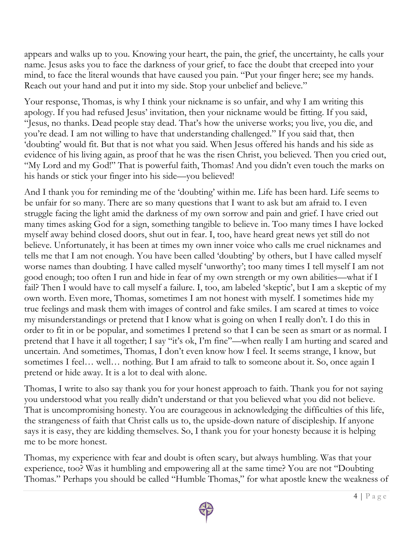appears and walks up to you. Knowing your heart, the pain, the grief, the uncertainty, he calls your name. Jesus asks you to face the darkness of your grief, to face the doubt that creeped into your mind, to face the literal wounds that have caused you pain. "Put your finger here; see my hands. Reach out your hand and put it into my side. Stop your unbelief and believe."

Your response, Thomas, is why I think your nickname is so unfair, and why I am writing this apology. If you had refused Jesus' invitation, then your nickname would be fitting. If you said, "Jesus, no thanks. Dead people stay dead. That's how the universe works; you live, you die, and you're dead. I am not willing to have that understanding challenged." If you said that, then 'doubting' would fit. But that is not what you said. When Jesus offered his hands and his side as evidence of his living again, as proof that he was the risen Christ, you believed. Then you cried out, "My Lord and my God!" That is powerful faith, Thomas! And you didn't even touch the marks on his hands or stick your finger into his side—you believed!

And I thank you for reminding me of the 'doubting' within me. Life has been hard. Life seems to be unfair for so many. There are so many questions that I want to ask but am afraid to. I even struggle facing the light amid the darkness of my own sorrow and pain and grief. I have cried out many times asking God for a sign, something tangible to believe in. Too many times I have locked myself away behind closed doors, shut out in fear. I, too, have heard great news yet still do not believe. Unfortunately, it has been at times my own inner voice who calls me cruel nicknames and tells me that I am not enough. You have been called 'doubting' by others, but I have called myself worse names than doubting. I have called myself 'unworthy'; too many times I tell myself I am not good enough; too often I run and hide in fear of my own strength or my own abilities—what if I fail? Then I would have to call myself a failure. I, too, am labeled 'skeptic', but I am a skeptic of my own worth. Even more, Thomas, sometimes I am not honest with myself. I sometimes hide my true feelings and mask them with images of control and fake smiles. I am scared at times to voice my misunderstandings or pretend that I know what is going on when I really don't. I do this in order to fit in or be popular, and sometimes I pretend so that I can be seen as smart or as normal. I pretend that I have it all together; I say "it's ok, I'm fine"—when really I am hurting and scared and uncertain. And sometimes, Thomas, I don't even know how I feel. It seems strange, I know, but sometimes I feel… well… nothing. But I am afraid to talk to someone about it. So, once again I pretend or hide away. It is a lot to deal with alone.

Thomas, I write to also say thank you for your honest approach to faith. Thank you for not saying you understood what you really didn't understand or that you believed what you did not believe. That is uncompromising honesty. You are courageous in acknowledging the difficulties of this life, the strangeness of faith that Christ calls us to, the upside-down nature of discipleship. If anyone says it is easy, they are kidding themselves. So, I thank you for your honesty because it is helping me to be more honest.

Thomas, my experience with fear and doubt is often scary, but always humbling. Was that your experience, too? Was it humbling and empowering all at the same time? You are not "Doubting Thomas." Perhaps you should be called "Humble Thomas," for what apostle knew the weakness of